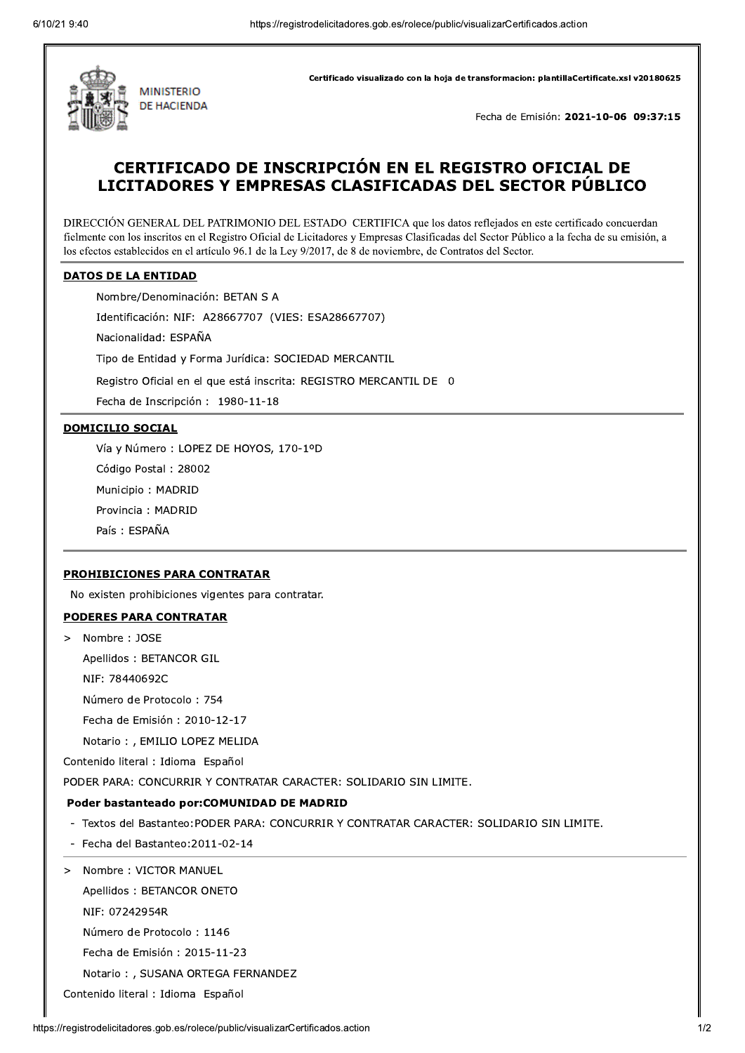

Certificado visualizado con la hoja de transformacion: plantillaCertificate.xsl v20180625

Fecha de Emisión: 2021-10-06 09:37:15

# CERTIFICADO DE INSCRIPCIÓN EN EL REGISTRO OFICIAL DE LICITADORES Y EMPRESAS CLASIFICADAS DEL SECTOR PÚBLICO

DIRECCIÓN GENERAL DEL PATRIMONIO DEL ESTADO CERTIFICA que los datos reflejados en este certificado concuerdan fielmente con los inscritos en el Registro Oficial de Licitadores y Empresas Clasificadas del Sector Público a la fecha de su emisión, a los efectos establecidos en el artículo 96.1 de la Ley 9/2017, de 8 de noviembre, de Contratos del Sector.

#### **DATOS DE LA ENTIDAD**

Nombre/Denominación: BETAN S A

Identificación: NIF: A28667707 (VIES: ESA28667707)

Nacionalidad: ESPAÑA

Tipo de Entidad y Forma Jurídica: SOCIEDAD MERCANTIL

Registro Oficial en el que está inscrita: REGISTRO MERCANTIL DE 0

Fecha de Inscripción: 1980-11-18

#### **DOMICILIO SOCIAL**

Vía y Número : LOPEZ DE HOYOS, 170-1ºD

Código Postal: 28002

Municipio: MADRID

Provincia: MADRID

País: ESPAÑA

### **PROHIBICIONES PARA CONTRATAR**

No existen prohibiciones vigentes para contratar.

## **PODERES PARA CONTRATAR**

Nombre: JOSE  $\geq$ 

Apellidos: BETANCOR GIL

NIF: 78440692C

Número de Protocolo: 754

Fecha de Emisión: 2010-12-17

Notario: , EMILIO LOPEZ MELIDA

Contenido literal : Idioma Español

PODER PARA: CONCURRIR Y CONTRATAR CARACTER: SOLIDARIO SIN LIMITE.

## Poder bastanteado por: COMUNIDAD DE MADRID

- Textos del Bastanteo: PODER PARA: CONCURRIR Y CONTRATAR CARACTER: SOLIDARIO SIN LIMITE.
- Fecha del Bastanteo: 2011-02-14
- Nombre: VICTOR MANUEL  $\geq$

Apellidos: BETANCOR ONETO

NIF: 07242954R

Número de Protocolo: 1146

Fecha de Emisión: 2015-11-23

Notario: , SUSANA ORTEGA FERNANDEZ

Contenido literal : Idioma Español